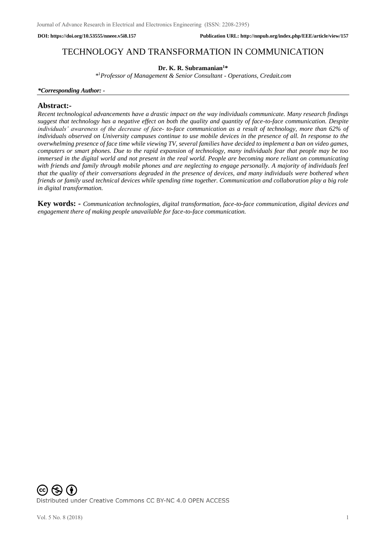# TECHNOLOGY AND TRANSFORMATION IN COMMUNICATION

# **Dr. K. R. Subramanian<sup>1</sup>\***

*\** <sup>1</sup>*Professor of Management & Senior Consultant - Operations, Credait.com*

#### *\*Corresponding Author: -*

# **Abstract:-**

*Recent technological advancements have a drastic impact on the way individuals communicate. Many research findings suggest that technology has a negative effect on both the quality and quantity of face-to-face communication. Despite individuals' awareness of the decrease of face- to-face communication as a result of technology, more than 62% of individuals observed on University campuses continue to use mobile devices in the presence of all. In response to the overwhelming presence of face time while viewing TV, several families have decided to implement a ban on video games, computers or smart phones. Due to the rapid expansion of technology, many individuals fear that people may be too immersed in the digital world and not present in the real world. People are becoming more reliant on communicating with friends and family through mobile phones and are neglecting to engage personally. A majority of individuals feel that the quality of their conversations degraded in the presence of devices, and many individuals were bothered when friends or family used technical devices while spending time together. Communication and collaboration play a big role in digital transformation.*

**Key words: -** *Communication technologies, digital transformation, face-to-face communication, digital devices and engagement there of making people unavailable for face-to-face communication.*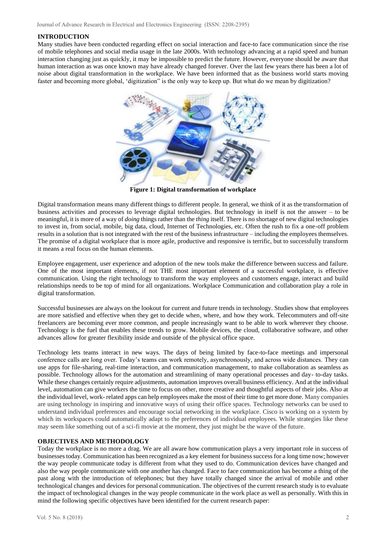## **INTRODUCTION**

Many studies have been conducted regarding effect on social interaction and face-to face communication since the rise of mobile telephones and social media usage in the late 2000s. With technology advancing at a rapid speed and human interaction changing just as quickly, it may be impossible to predict the future. However, everyone should be aware that human interaction as was once known may have already changed forever. Over the last few years there has been a lot of noise about digital transformation in the workplace. We have been informed that as the business world starts moving faster and becoming more global, 'digitization" is the only way to keep up. But what do we mean by digitization?



**Figure 1: Digital transformation of workplace**

Digital transformation means many different things to different people. In general, we think of it as the transformation of business activities and processes to leverage digital technologies. But technology in itself is not the answer – to be meaningful, it is more of a way of *doing* things rather than the *thing* itself. There is no shortage of new digital technologies to invest in, from social, mobile, big data, cloud, Internet of Technologies, etc. Often the rush to fix a one-off problem results in a solution that is not integrated with the rest of the business infrastructure – including the employees themselves. The promise of a digital workplace that is more agile, productive and responsive is terrific, but to successfully transform it means a real focus on the human elements.

Employee engagement, user experience and adoption of the new tools make the difference between success and failure. One of the most important elements, if not THE most important element of a successful workplace, is effective communication. Using the right technology to transform the way employees and customers engage, interact and build relationships needs to be top of mind for all organizations. Workplace Communication and collaboration play a role in digital transformation.

Successful businesses are always on the look[out for current a](http://www.forbes.com/sites/ajagrawal/2016/01/11/8-tech-trends-changing-how-we-work-in-2016/#5fb18ea7013d)n[d future t](http://raconteur.net/business/top-8-tech-trends-for-the-future-workplace)rends in technology[. Studies show t](http://www.gensler.com/uploads/document/337/file/2013_US_Workplace_Survey_07_15_2013.pdf)hat employees are more satisfied and effective when they get to decide when, where, and how they work. [Telecommuters a](http://www.gallup.com/poll/184649/telecommuting-work-climbs.aspx)nd off-site [freelancers a](http://raconteur.net/business/demand-for-freelancers-continues-to-grow)re becoming ever more common, and people increasingly want to be able to work wherever they choose. Technology is the fuel that enables these trends to grow. Mobile devices, the cloud, collaborative software, and other advances allow for greater flexibility inside and outside of the physical office space.

Technology lets teams interact in new ways. The days of being limited by face-to-face meetings and impersonal conference calls are long over. Today's teams can work remotely, asynchronously, and across wide distances. They can use apps for file-sharing, real-time interaction, and communication management, to make collaboration as seamless as possible. Technology allows for the automation and streamlining of many operational processes and day- to-day tasks. While these changes certainly require adjustments[, automation improves overall](http://www.computerweekly.com/feature/Automating-workloads-to-improve-business-efficiency) [business efficiency. A](http://www.computerweekly.com/feature/Automating-workloads-to-improve-business-efficiency)nd at the individual level, automation can give workers the time to focus on other, more creative and thoughtful aspects of their jobs. Also at the individual level, work- related apps can help employees make the most of their time to get more done. Many companies are using technology in inspiring and innovative ways of using their office spaces. Technology networks can be used to understand individual preferences and encourage social networking in the workplace. Cisco is working on a system by which its workspaces could automatically adapt to the preferences of individual employees. While strategies like these may seem like something out of a sci-fi movie at the moment, they just might be the wave of the future.

## **OBJECTIVES AND METHODOLOGY**

Today the workplace is no more a drag. We are all aware how communication plays a very important role in success of businesses today. Communication has been recognized as a key element for business success for a long time now; however the way people communicate today is different from what they used to do. Communication devices have changed and also the way people communicate with one another has changed. Face to face communication has become a thing of the past along with the introduction of telephones; but they have totally changed since the arrival of mobile and other technological changes and devices for personal communication. The objectives of the current research study is to evaluate the impact of technological changes in the way people communicate in the work place as well as personally. With this in mind the following specific objectives have been identified for the current research paper: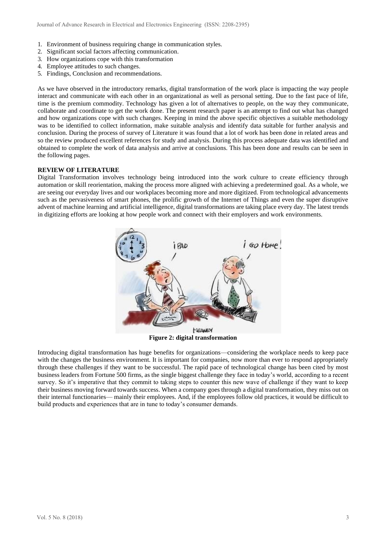- 1. Environment of business requiring change in communication styles.
- 2. Significant social factors affecting communication.
- 3. How organizations cope with this transformation
- 4. Employee attitudes to such changes.
- 5. Findings, Conclusion and recommendations.

As we have observed in the introductory remarks, digital transformation of the work place is impacting the way people interact and communicate with each other in an organizational as well as personal setting. Due to the fast pace of life, time is the premium commodity. Technology has given a lot of alternatives to people, on the way they communicate, collaborate and coordinate to get the work done. The present research paper is an attempt to find out what has changed and how organizations cope with such changes. Keeping in mind the above specific objectives a suitable methodology was to be identified to collect information, make suitable analysis and identify data suitable for further analysis and conclusion. During the process of survey of Literature it was found that a lot of work has been done in related areas and so the review produced excellent references for study and analysis. During this process adequate data was identified and obtained to complete the work of data analysis and arrive at conclusions. This has been done and results can be seen in the following pages.

## **REVIEW OF LITERATURE**

Digital Transformation involves technology being introduced into the work culture to create efficiency through automation or skill reorientation, making the process more aligned with achieving a predetermined goal. As a whole, we are seeing our everyday lives and our workplaces becoming more and more digitized. From technological advancements such as the pervasiveness of smart phones, the prolific growth of the Internet of Things and even the super disruptive advent of machine learning and artificial intelligence, digital transformations are taking place every day. The latest trends in digitizing efforts are looking at how people work and connect with their employers and work environments.



**Figure 2: digital transformation**

Introducing digital transformation has huge benefits for organizations—considering the workplace needs to keep pace with the changes the business environment. It is important for companies, now more than ever to respond appropriately through these challenges if they want to be successful. The rapid pace of technological change has been cited by most business leaders from Fortune 500 firms, as th[e single biggest challenge t](http://fortune.com/2016/06/03/challenges-facing-fortune-500/)hey face in today's world, according to a recent survey. So it's imperative that they commit to taking steps to counter this new wave of challenge if they want to keep their business moving forward towards success. When a company goes through a digital transformation, they miss out on their internal functionaries— mainly their employees. And, if the employees follow old practices, it would be difficult to build products and experiences that are in tune to today's consumer demands.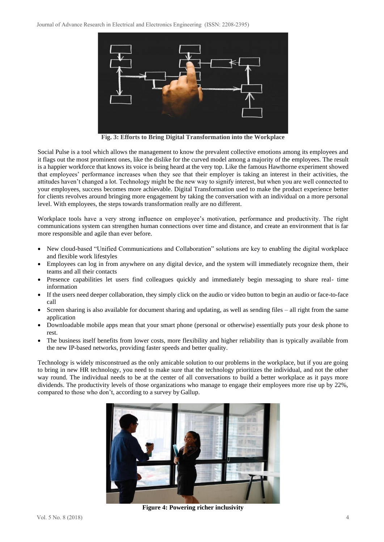

**Fig. 3: Efforts to Bring Digital Transformation into the Workplace**

Social Pulse is a tool which allows the management to know the prevalent collective emotions among its employees and it flags out the most prominent ones, like the dislike for the curved model among a majority of the employees. The result is a happier workforce that knows its voice is being heard at the very top. Like [the famous Hawthorne experiment s](http://www.economist.com/node/12510632)howed that employees' performance increases when they see that their employer is taking an interest in their activities, the attitudes haven't changed a lot. Technology might be the new way to signify interest, but when you are well connected to your employees, success becomes more achievable. Digital Transformation used to make the product experience better for clients revolves around bringing more engagement by taking the conversation with an individual on a more personal level. With employees, the steps towards transformation really are no different.

Workplace tools have a very strong influence on employee's motivation, performance and productivity. The right communications system can strengthen human connections over time and distance, and create an environment that is far more responsible and agile than ever before.

- New cloud-based "Unified Communications and Collaboration" solutions are key to enabling the digital workplace and flexible work lifestyles
- Employees can log in from anywhere on any digital device, and the system will immediately recognize them, their teams and all their contacts
- Presence capabilities let users find colleagues quickly and immediately begin messaging to share real- time information
- If the users need deeper collaboration, they simply click on the audio or video button to begin an audio or face-to-face call
- Screen sharing is also available for document sharing and updating, as well as sending files all right from the same application
- Downloadable mobile apps mean that your smart phone (personal or otherwise) essentially puts your desk phone to rest.
- The business itself benefits from lower costs, more flexibility and higher reliability than is typically available from the new IP-based networks, providing faster speeds and better quality.

Technology is widely misconstrued as the only amicable solution to our problems in the workplace, but if you are going to bring in new HR technology, you need to make sure that the technology prioritizes the individual, and not the other way round. The individual needs to be at the center of all conversations to build a better workplace as it pays more dividends. The productivity levels of those organizations who manage to engage their employees more rise up by 22%, compared to those who don't, [according to a survey by](https://hbr.org/2013/07/employee-engagement-does-more) Gallup.



**Figure 4: Powering richer inclusivity**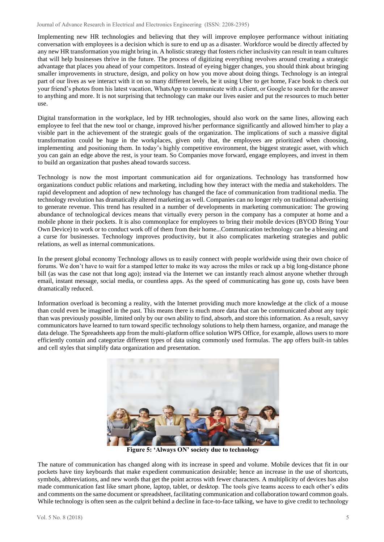Journal of Advance Research in Electrical and Electronics Engineering (ISSN: 2208-2395)

Implementing new HR technologies and believing that they will improve employee performance without initiating conversation with employees is a decision which is sure to end up as a disaster. Workforce would be directly affected by any new HR transformation you might bring in. A holistic strategy that fosters richer inclusivity can result in team cultures that will help businesses thrive in the future. [The process of digitizing everything r](https://www.pacandcopy.com/playing-trump-card-digitizing-everything/)evolves around creating a strategic advantage that places you ahead of your competitors. Instead of eyeing bigger changes, you should think about bringing smaller improvements in structure, design, and policy on how you move about doing things. Technology is an integral part of our lives as we interact with it on so many different levels, be it using Uber to get home, Face book to check out your friend's photos from his latest vacation, WhatsApp to communicate with a client, or Google to search for the answer to anything and more. It is not surprising that technology can make our lives easier and put the resources to much better use.

[Digital transformation in the workplace, l](https://www.forbes.com/sites/jeannemeister/2017/01/05/the-employee-experience-is-the-future-of-work-10-hr-trends-for-2017/#2d2da6dc20a6)ed by HR technologies, should also work on the same lines, allowing each employee to feel that the new tool or change, improved his/her performance significantly and allowed him/her to play a visible part in the achievement of the strategic goals of the organization. The implications of such a massive digital transformation could be huge in the workplaces, given only that, the employees are prioritized when choosing, implementing and positioning them. In today's highly competitive environment, the biggest strategic asset, with which you can gain an edge above the rest, is your team. So Companies move forward, engage employees, and invest in them to build an organization that pushes ahead towards success.

Technology is now the most important communication aid for organizations. Technology has transformed how organizations conduct public relations and marketing, including how they interact with the media and stakeholders. The rapid development and adoption of new technology has changed the face of communication from traditional media. The technology revolution has dramatically altered marketing as well. Companies can no longer rely on traditional advertising to generate revenue. This trend has resulted in a number of developments in marketing communication: The growing abundance of technological devices means that virtually every person in the company has a computer at home and a mobile phone in their pockets. It is also commonplace for employees to bring their mobile devices (BYOD Bring Your Own Device) to work or to conduct work off of them from their home...Communication technology can be a blessing and a curse for businesses. Technology improves productivity, but it also complicates marketing strategies and public relations, as well as internal communications.

In the present global economy Technology allows us to easily connect with people worldwide using their own choice of forums. We don't have to wait for a stamped letter to make its way across the miles or rack up a big long-distance phone bill (as was the case not that long ago); instead via the Internet we can instantly reach almost anyone whether through email, instant message, social media, or countless apps. As the speed of communicating has gone up, costs have been dramatically reduced.

Information overload is becoming a reality, with the Internet providing much more knowledge at the click of a mouse than could even be imagined in the past. This means there is much more data that can be communicated about any topic than was previously possible, limited only by our own ability to find, absorb, and store this information. As a result, savvy communicators have learned to turn toward specific technology solutions to help them harness, organize, and manage the data deluge. The Spreadsheets app from the multi-platform office solution WPS Office, for example, allows users to more efficiently contain and categorize different types of data using commonly used formulas. The app offers built-in tables and cell styles that simplify data organization and presentation.



**Figure 5: 'Always ON' society due to technology**

The nature of communication has changed along with its increase in speed and volume. Mobile devices that fit in our pockets have tiny keyboards that make expedient communication desirable; hence an increase in the use of shortcuts, symbols, abbreviations, and new words that get the point across with fewer characters. A multiplicity of devices has also made communication fast like smart phone, laptop, tablet, or desktop. The tools give teams access to each other's edits and comments on the same document or spreadsheet, facilitating communication and collaboration toward common goals. While technology is often seen as the culprit behind a decline in face-to-face talking, we have to give credit to technology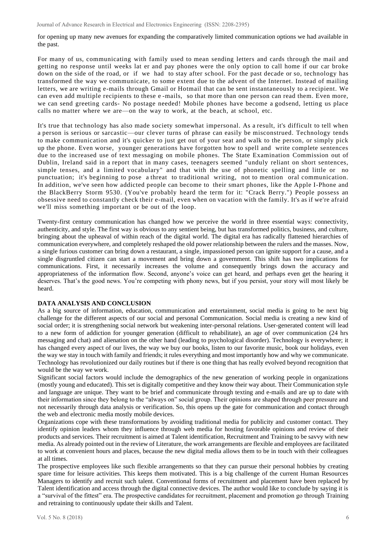for opening up many new avenues for expanding the comparatively limited communication options we had available in the past.

For many of us, communicating with family used to mean sending letters and cards through the mail and getting no response until weeks lat er and pay phones were the only option to call home if our car broke down on the side of the road, or if we had to stay after school. For the past decade or so, technology has transformed the way we communicate, to some extent due to the advent of the Internet. Instead of mailing letters, we are writing e-mails through [Gmail](https://www.pcmag.com/article2/0%2C2817%2C1830149%2C00.asp) or [Hotmail t](https://www.pcmag.com/article2/0%2C2817%2C2107834%2C00.asp)hat can be sent instantaneously to a recipient. We can even add multiple recipients to these e -mails, so that more than one person can read them. Even more, we can send greeting cards- No postage needed! Mobile phones have become a godsend, letting us place calls no matter where we are—on the way to work, at the beach, at school, etc.

It's true that technology has also made society somewhat impersonal. As a result, it's difficult to tell when a person is serious or sarcastic—our clever turns of phrase can easily be misconstrued. Technology tends to make communication and it's quicker to just get out of your seat and walk to the person, or simply pick up the phone. Even worse, younger generations have forgotten how to spell and write complete sentences due to the increased use of text messaging on mobile phones. The [State](http://www.gearlog.com/2007/04/report_links_text_messaging_wi.php) [Examination Commission out of](http://www.gearlog.com/2007/04/report_links_text_messaging_wi.php)  [Dublin, Ireland](http://www.gearlog.com/2007/04/report_links_text_messaging_wi.php) said in a report that in many cases, teenagers seemed "unduly reliant on short sentences, simple tenses, and a limited vocabulary" and that with the use of phonetic spelling and little or no punctuation; it's beginning to pose a threat to traditional writing, not to mention oral communication. In addition, we've seen how addicted people can become to their smart phones, like the [Apple I-Phone a](https://www.pcmag.com/article2/0%2C2817%2C2319438%2C00.asp)nd the [BlackBerry Storm 9530.](https://www.pcmag.com/article2/0%2C2817%2C2331977%2C00.asp) (You've probably heard the term for it: "Crack Berry.") People possess an obsessive need to constantly check their e-mail, even when on vacation with the family. It's as if we're afraid we'll miss something important or be out of the loop.

Twenty-first century communication has changed how we perceive the world in three essential ways: connectivity, authenticity, and style. The first way is obvious to any sentient being, but has transformed politics, business, and culture, bringing about the upheaval of within reach of the digital world. The digital era has radically flattened hierarchies of communication everywhere, and completely reshaped the old power relationship between the rulers and the masses. Now, a single furious customer can bring down a restaurant, a single, impassioned person can ignite support for a cause, and a single disgruntled citizen can start a movement and bring down a government. This shift has two implications for communications. First, it necessarily increases the volume and consequently brings down the accuracy and appropriateness of the information flow. Second, anyone's voice can get heard, and perhaps even get the hearing it deserves. That's the good news. You're competing with phony news, but if you persist, your story will most likely be heard.

#### **DATA ANALYSIS AND CONCLUSION**

As a big source of information, education, communication and entertainment, social media is going to be next big challenge for the different aspects of our social and personal Communication. Social media is creating a new kind of social order; it is strengthening social network but weakening inter-personal relations. User-generated content will lead to a new form of addiction for younger generation (difficult to rehabilitate), an age of over communication (24 hrs messaging and chat) and alienation on the other hand (leading to psychological disorder). Technology is everywhere; it has changed every aspect of our lives, the way we buy our books, listen to our favorite music, book our holidays, even the way we stay in touch with family and friends; it rules everything and most importantly how and why we communicate. Technology has revolutionized our daily routines but if there is one thing that has really evolved beyond recognition that would be the way we work.

Significant social factors would include the demographics of the new generation of working people in organizations (mostly young and educated). This set is digitally competitive and they know their way about. Their Communication style and language are unique. They want to be brief and communicate through texting and e-mails and are up to date with their information since they belong to the "always on" social group. Their opinions are shaped through peer pressure and not necessarily through data analysis or verification. So, this opens up the gate for communication and contact through the web and electronic media mostly mobile devices.

Organizations cope with these transformations by avoiding traditional media for publicity and customer contact. They identify opinion leaders whom they influence through web media for hosting favorable opinions and review of their products and services. Their recruitment is aimed at Talent identification, Recruitment and Training to be savvy with new media. As already pointed out in the review of Literature, the work arrangements are flexible and employees are facilitated to work at convenient hours and places, because the new digital media allows them to be in touch with their colleagues at all times.

The prospective employees like such flexible arrangements so that they can pursue their personal hobbies by creating spare time for leisure activities. This keeps them motivated. This is a big challenge of the current Human Resources Managers to identify and recruit such talent. Conventional forms of recruitment and placement have been replaced by Talent identification and access through the digital connective devices. The author would like to conclude by saying it is a "survival of the fittest" era. The prospective candidates for recruitment, placement and promotion go through Training and retraining to continuously update their skills and Talent.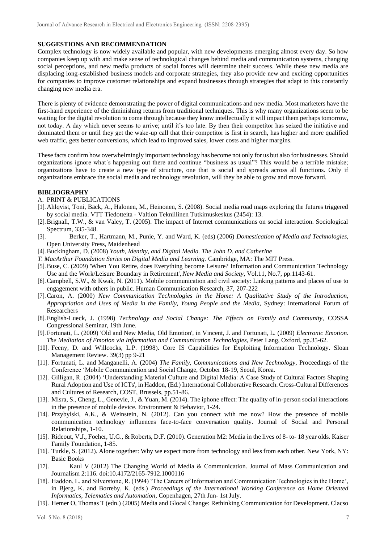## **SUGGESTIONS AND RECOMMENDATION**

Complex technology is now widely available and popular, with new developments emerging almost every day. So how companies keep up with and make sense of technological changes behind media and communication systems, changing social perceptions, and new media products of social forces will determine their success. While these new media are displacing long-established business models and corporate strategies, they also provide new and exciting opportunities for companies to improve customer relationships and expand businesses through strategies that adapt to this constantly changing new media era.

There is plenty of evidence demonstrating the power of digital communications and new media. Most marketers have the first-hand experience of the diminishing returns from traditional techniques. This is why many organizations seem to be waiting for the digital revolution to come through because they know intellectually it will impact them perhaps tomorrow, not today. A day which never seems to arrive; until it's too late. By then their competitor has seized the initiative and dominated them or until they get the wake-up call that their competitor is first in search, has higher and more qualified web traffic, gets better conversions, which lead to improved sales, lower costs and higher margins.

These facts confirm how overwhelmingly important technology has become not only for us but also for businesses. Should organizations ignore what´s happening out there and continue "business as usual"? This would be a terrible mistake; organizations have to create a new type of structure, one that is social and spreads across all functions. Only if organizations embrace the social media and technology revolution, will they be able to grow and move forward.

## **BIBLIOGRAPHY**

#### A. PRINT & PUBLICATIONS

- [1].Ahlqvist, Toni, Bäck, A., Halonen, M., Heinonen, S. (2008). Social media road maps exploring the futures triggered by social media. VTT Tiedotteita - Valtion Teknillinen Tutkimuskeskus (2454): 13.
- [2].Brignall, T.W., & van Valey, T. (2005). The impact of Internet communications on social interaction. Sociological Spectrum, 335-348.
- [3]. Berker, T., Hartmann, M., Punie, Y. and Ward, K. (eds) (2006) *Domestication of Media and Technologies,*  Open University Press, Maidenhead
- [4].Buckingham, D. (2008) *Youth, Identity, and Digital Media. The John D. and Catherine*
- *T. MacArthur Foundation Series on Digital Media and Learning.* Cambridge, MA: The MIT Press.
- [5].Buse, C. (2009) 'When You Retire, does Everything become Leisure? Information and Communication Technology Use and the Work/Leisure Boundary in Retirement', *New Media and Society*, Vol.11, No.7, pp.1143-61.
- [6].Campbell, S.W., & Kwak, N. (2011). Mobile communication and civil society: Linking patterns and places of use to engagement with others in public. Human Communication Research, 37, 207-222
- [7].Caron, A. (2000) *New Communication Technologies in the Home: A Qualitative Study of the Introduction, Appropriation and Uses of Media in the Family, Young People and the Media,* Sydney: International Forum of Researchers
- [8].English-Lueck, J. (1998) *Technology and Social Change: The Effects on Family and Community*, COSSA Congressional Seminar, 19th June.
- [9]. Fortunati, L. (2009) 'Old and New Media, Old Emotion', in Vincent, J. and Fortunati, L. (2009) *Electronic Emotion. The Mediation of Emotion via Information and Communication Technologies*, Peter Lang, Oxford, pp.35-62.
- [10]. Feeny, D. and Willcocks, L.P. (1998). Core IS Capabilities for Exploiting Information Technology. Sloan Management Review. 39(3) pp 9-21
- [11]. Fortunati, L. and Manganelli, A. (2004) *The Family, Communications and New Technology*, Proceedings of the Conference 'Mobile Communication and Social Change, October 18-19, Seoul, Korea.
- [12]. Gilligan, R. (2004) 'Understanding Material Culture and Digital Media: A Case Study of Cultural Factors Shaping Rural Adoption and Use of ICTs', in Haddon, (Ed.) International Collaborative Research. Cross-Cultural Differences and Cultures of Research, COST, Brussels, pp.51-86.
- [13]. Misra, S., Cheng, L., Genevie, J., & Yuan, M. (2014). The iphone effect: The quality of in-person social interactions in the presence of mobile device. Environment & Behavior, 1-24.
- [14]. Przybylski, A.K., & Weinstein, N. (2012). Can you connect with me now? How the presence of mobile communication technology influences face-to-face conversation quality. Journal of Social and Personal Relationships, 1-10.
- [15]. Rideout, V.J., Foeher, U.G., & Roberts, D.F. (2010). Generation M2: Media in the lives of 8- to- 18 year olds. Kaiser Family Foundation, 1-85.
- [16]. Turkle, S. (2012). Alone together: Why we expect more from technology and lessfrom each other. New York, NY: Basic Books
- [17]. Kaul V (2012) The Changing World of Media & Communication. Journal of Mass Communication and Journalism 2:116. doi:10.4172/2165-7912.1000116
- [18]. Haddon, L. and Silverstone, R. (1994) 'The Careers of Information and Communication Technologies in the Home', in Bjerg, K. and Borreby, K. (eds.) *Proceedings of the International Working Conference on Home Oriented Informatics, Telematics and Automation*, Copenhagen, 27th Jun- 1st July.
- [19]. Hemer O, Thomas T (edn.) (2005) Media and Glocal Change: Rethinking Communication for Development. Clacso